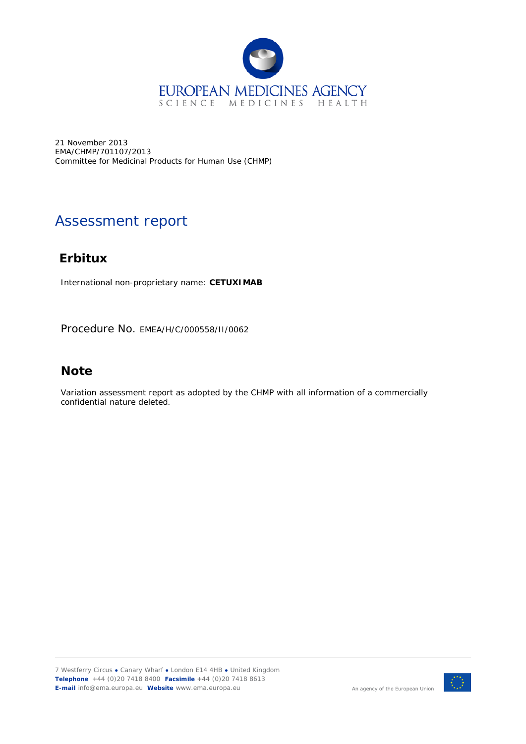

21 November 2013 EMA/CHMP/701107/2013 Committee for Medicinal Products for Human Use (CHMP)

# Assessment report

# **Erbitux**

International non-proprietary name: **CETUXIMAB**

Procedure No. EMEA/H/C/000558/II/0062

# **Note**

Variation assessment report as adopted by the CHMP with all information of a commercially confidential nature deleted.

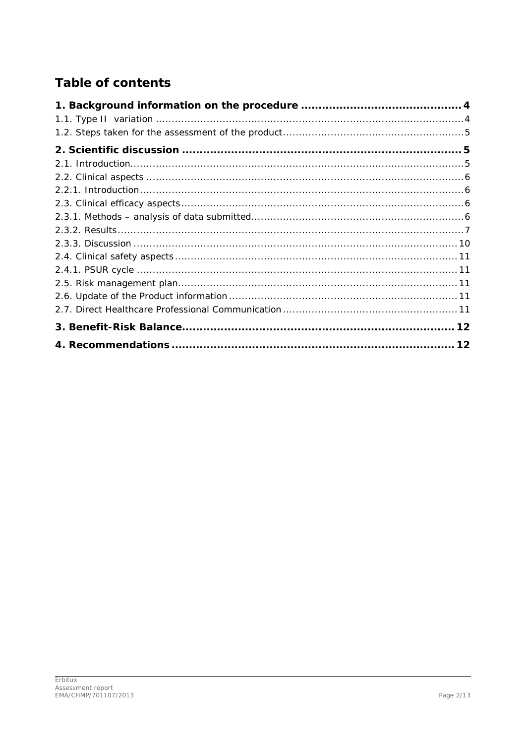# **Table of contents**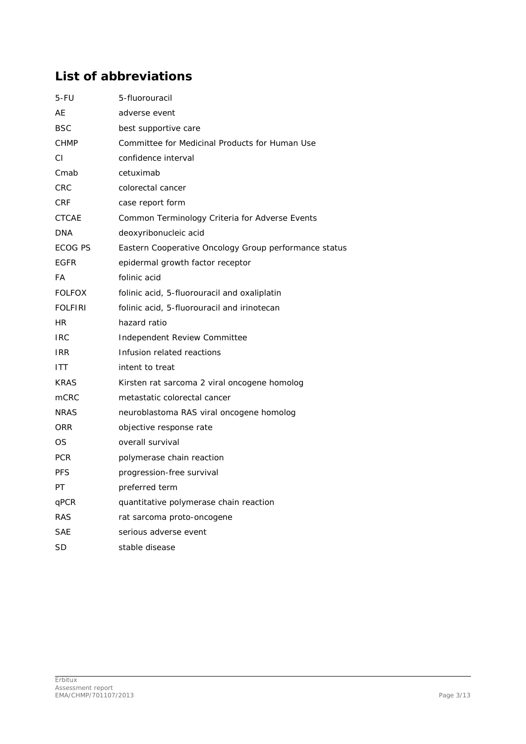# **List of abbreviations**

| 5-FU           | 5-fluorouracil                                        |
|----------------|-------------------------------------------------------|
| AE             | adverse event                                         |
| <b>BSC</b>     | best supportive care                                  |
| <b>CHMP</b>    | Committee for Medicinal Products for Human Use        |
| CI             | confidence interval                                   |
| Cmab           | cetuximab                                             |
| <b>CRC</b>     | colorectal cancer                                     |
| <b>CRF</b>     | case report form                                      |
| <b>CTCAE</b>   | Common Terminology Criteria for Adverse Events        |
| <b>DNA</b>     | deoxyribonucleic acid                                 |
| ECOG PS        | Eastern Cooperative Oncology Group performance status |
| <b>EGFR</b>    | epidermal growth factor receptor                      |
| FA             | folinic acid                                          |
| <b>FOLFOX</b>  | folinic acid, 5-fluorouracil and oxaliplatin          |
| <b>FOLFIRI</b> | folinic acid, 5-fluorouracil and irinotecan           |
| HR.            | hazard ratio                                          |
| <b>IRC</b>     | Independent Review Committee                          |
| <b>IRR</b>     | Infusion related reactions                            |
| ITT            | intent to treat                                       |
| <b>KRAS</b>    | Kirsten rat sarcoma 2 viral oncogene homolog          |
| mCRC           | metastatic colorectal cancer                          |
| <b>NRAS</b>    | neuroblastoma RAS viral oncogene homolog              |
| <b>ORR</b>     | objective response rate                               |
| OS             | overall survival                                      |
| <b>PCR</b>     | polymerase chain reaction                             |
| <b>PFS</b>     | progression-free survival                             |
| РT             | preferred term                                        |
| qPCR           | quantitative polymerase chain reaction                |
| <b>RAS</b>     | rat sarcoma proto-oncogene                            |
| SAE            | serious adverse event                                 |
| SD             | stable disease                                        |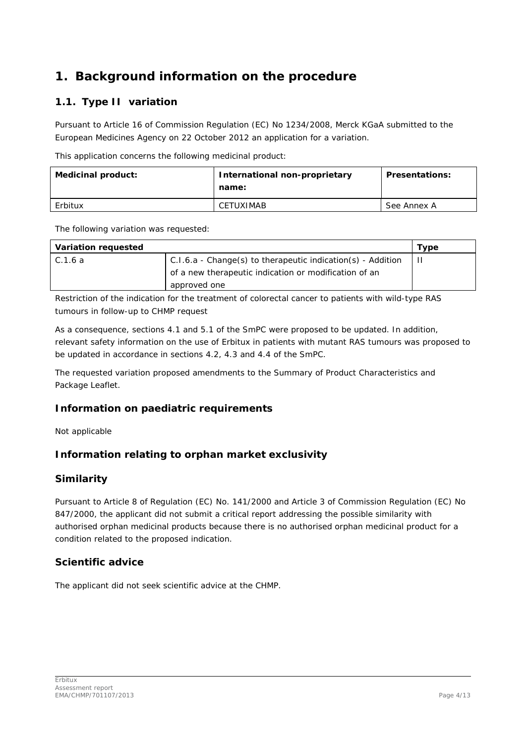# <span id="page-3-0"></span>**1. Background information on the procedure**

# <span id="page-3-1"></span>*1.1. Type II variation*

Pursuant to Article 16 of Commission Regulation (EC) No 1234/2008, Merck KGaA submitted to the European Medicines Agency on 22 October 2012 an application for a variation.

This application concerns the following medicinal product:

| Medicinal product: | International non-proprietary<br>name: | <b>Presentations:</b> |
|--------------------|----------------------------------------|-----------------------|
| Erbitux            | CETUXIMAB                              | See Annex A           |

The following variation was requested:

| Variation requested |                                                               | Type |
|---------------------|---------------------------------------------------------------|------|
| C.1.6 a             | $C.I.6.a - Change(s)$ to therapeutic indication(s) - Addition |      |
|                     | of a new therapeutic indication or modification of an         |      |
|                     | approved one                                                  |      |

Restriction of the indication for the treatment of colorectal cancer to patients with wild-type *RAS* tumours in follow-up to CHMP request

As a consequence, sections 4.1 and 5.1 of the SmPC were proposed to be updated. In addition, relevant safety information on the use of Erbitux in patients with mutant *RAS* tumours was proposed to be updated in accordance in sections 4.2, 4.3 and 4.4 of the SmPC.

The requested variation proposed amendments to the Summary of Product Characteristics and Package Leaflet.

## *Information on paediatric requirements*

Not applicable

## *Information relating to orphan market exclusivity*

## **Similarity**

Pursuant to Article 8 of Regulation (EC) No. 141/2000 and Article 3 of Commission Regulation (EC) No 847/2000, the applicant did not submit a critical report addressing the possible similarity with authorised orphan medicinal products because there is no authorised orphan medicinal product for a condition related to the proposed indication.

## *Scientific advice*

The applicant did not seek scientific advice at the CHMP.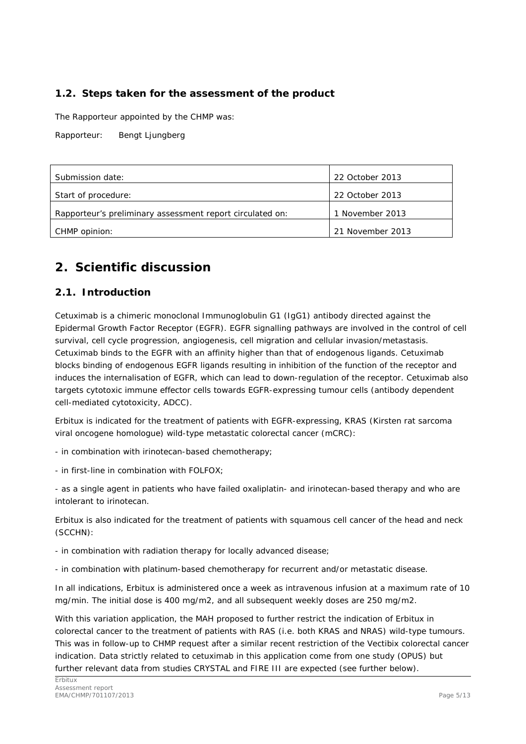## <span id="page-4-0"></span>*1.2. Steps taken for the assessment of the product*

The Rapporteur appointed by the CHMP was:

Rapporteur: Bengt Ljungberg

| Submission date:                                          | 22 October 2013  |
|-----------------------------------------------------------|------------------|
| Start of procedure:                                       | 22 October 2013  |
| Rapporteur's preliminary assessment report circulated on: | 1 November 2013  |
| CHMP opinion:                                             | 21 November 2013 |

# <span id="page-4-1"></span>**2. Scientific discussion**

### <span id="page-4-2"></span>*2.1. Introduction*

Cetuximab is a chimeric monoclonal Immunoglobulin G1 (IgG1) antibody directed against the Epidermal Growth Factor Receptor (EGFR). EGFR signalling pathways are involved in the control of cell survival, cell cycle progression, angiogenesis, cell migration and cellular invasion/metastasis. Cetuximab binds to the EGFR with an affinity higher than that of endogenous ligands. Cetuximab blocks binding of endogenous EGFR ligands resulting in inhibition of the function of the receptor and induces the internalisation of EGFR, which can lead to down-regulation of the receptor. Cetuximab also targets cytotoxic immune effector cells towards EGFR-expressing tumour cells (antibody dependent cell-mediated cytotoxicity, ADCC).

Erbitux is indicated for the treatment of patients with EGFR-expressing, *KRAS* (Kirsten rat sarcoma viral oncogene homologue) wild-type metastatic colorectal cancer (mCRC):

- in combination with irinotecan-based chemotherapy;

- in first-line in combination with FOLFOX;

- as a single agent in patients who have failed oxaliplatin- and irinotecan-based therapy and who are intolerant to irinotecan.

Erbitux is also indicated for the treatment of patients with squamous cell cancer of the head and neck (SCCHN):

- in combination with radiation therapy for locally advanced disease;

- in combination with platinum-based chemotherapy for recurrent and/or metastatic disease.

In all indications, Erbitux is administered once a week as intravenous infusion at a maximum rate of 10 mg/min. The initial dose is 400 mg/m2, and all subsequent weekly doses are 250 mg/m2.

With this variation application, the MAH proposed to further restrict the indication of Erbitux in colorectal cancer to the treatment of patients with *RAS* (i.e. both *KRAS* and *NRAS)* wild-type tumours. This was in follow-up to CHMP request after a similar recent restriction of the Vectibix colorectal cancer indication. Data strictly related to cetuximab in this application come from one study (OPUS) but further relevant data from studies CRYSTAL and FIRE III are expected (see further below).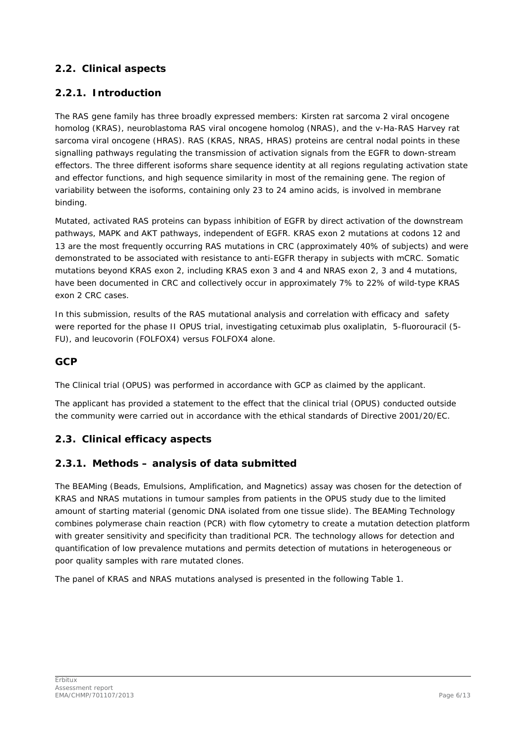## <span id="page-5-0"></span>*2.2. Clinical aspects*

## <span id="page-5-1"></span>**2.2.1. Introduction**

The *RAS* gene family has three broadly expressed members: Kirsten rat sarcoma 2 viral oncogene homolog (*KRAS*), neuroblastoma *RAS* viral oncogene homolog (*NRAS*), and the v-Ha-*RAS* Harvey rat sarcoma viral oncogene (*HRAS*). *RAS* (*KRAS, NRAS, HRAS*) proteins are central nodal points in these signalling pathways regulating the transmission of activation signals from the EGFR to down-stream effectors. The three different isoforms share sequence identity at all regions regulating activation state and effector functions, and high sequence similarity in most of the remaining gene. The region of variability between the isoforms, containing only 23 to 24 amino acids, is involved in membrane binding.

Mutated, activated RAS proteins can bypass inhibition of EGFR by direct activation of the downstream pathways, MAPK and AKT pathways, independent of EGFR. *KRAS* exon 2 mutations at codons 12 and 13 are the most frequently occurring *RAS* mutations in CRC (approximately 40% of subjects) and were demonstrated to be associated with resistance to anti-EGFR therapy in subjects with mCRC. Somatic mutations beyond *KRAS* exon 2, including *KRAS* exon 3 and 4 and *NRAS* exon 2, 3 and 4 mutations, have been documented in CRC and collectively occur in approximately 7% to 22% of wild-type *KRAS* exon 2 CRC cases.

In this submission, results of the *RAS* mutational analysis and correlation with efficacy and safety were reported for the phase II OPUS trial, investigating cetuximab plus oxaliplatin, 5-fluorouracil (5- FU), and leucovorin (FOLFOX4) versus FOLFOX4 alone.

## *GCP*

The Clinical trial (OPUS) was performed in accordance with GCP as claimed by the applicant.

The applicant has provided a statement to the effect that the clinical trial (OPUS) conducted outside the community were carried out in accordance with the ethical standards of Directive 2001/20/EC.

## <span id="page-5-2"></span>*2.3. Clinical efficacy aspects*

### <span id="page-5-3"></span>**2.3.1. Methods – analysis of data submitted**

The BEAMing (Beads, Emulsions, Amplification, and Magnetics) assay was chosen for the detection of *KRAS* and *NRAS* mutations in tumour samples from patients in the OPUS study due to the limited amount of starting material (genomic DNA isolated from one tissue slide). The BEAMing Technology combines polymerase chain reaction (PCR) with flow cytometry to create a mutation detection platform with greater sensitivity and specificity than traditional PCR. The technology allows for detection and quantification of low prevalence mutations and permits detection of mutations in heterogeneous or poor quality samples with rare mutated clones.

The panel of *KRAS* and *NRAS* mutations analysed is presented in the following Table 1.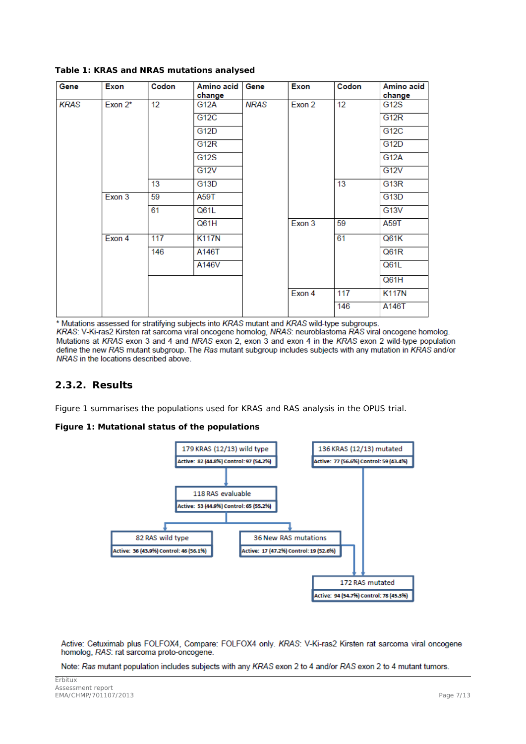| Gene | Exon       | Codon | Amino acid  <br>change | Gene        | Exon   | Codon | Amino acid<br>change |
|------|------------|-------|------------------------|-------------|--------|-------|----------------------|
| KRAS | Exon $2^*$ | 12    | G12A                   | <b>NRAS</b> | Exon 2 | 12    | G12S                 |
|      |            |       | G12C                   |             |        |       | G12R                 |
|      |            |       | G12D                   |             |        |       | G12C                 |
|      |            |       | G12R                   |             |        |       | G12D                 |
|      |            |       | <b>G12S</b>            |             |        |       | <b>G12A</b>          |
|      |            |       | G12V                   |             |        |       | G12V                 |
|      |            | 13    | G13D                   |             |        | 13    | G13R                 |
|      | Exon 3     | 59    | A59T                   |             |        |       | G13D                 |
|      |            | 61    | Q61L                   |             |        |       | G13V                 |
|      |            |       | Q61H                   |             | Exon 3 | 59    | A59T                 |
|      | Exon 4     | 117   | <b>K117N</b>           |             |        | 61    | Q61K                 |
|      |            | 146   | A146T                  |             |        |       | Q61R                 |
|      |            |       | A146V                  |             |        |       | Q61L                 |
|      |            |       |                        |             |        |       | Q61H                 |
|      |            |       |                        |             | Exon 4 | 117   | <b>K117N</b>         |
|      |            |       |                        |             |        | 146   | A146T                |

**Table 1:** *KRAS* **and** *NRAS* **mutations analysed**

\* Mutations assessed for stratifying subjects into KRAS mutant and KRAS wild-type subgroups.

KRAS: V-Ki-ras2 Kirsten rat sarcoma viral oncogene homolog, NRAS: neuroblastoma RAS viral oncogene homolog. Mutations at KRAS exon 3 and 4 and NRAS exon 2, exon 3 and exon 4 in the KRAS exon 2 wild-type population define the new RAS mutant subgroup. The Ras mutant subgroup includes subjects with any mutation in KRAS and/or NRAS in the locations described above.

### <span id="page-6-0"></span>**2.3.2. Results**

Figure 1 summarises the populations used for *KRAS* and *RAS* analysis in the OPUS trial.

#### **Figure 1: Mutational status of the populations**



Active: Cetuximab plus FOLFOX4, Compare: FOLFOX4 only. KRAS: V-Ki-ras2 Kirsten rat sarcoma viral oncogene homolog, RAS: rat sarcoma proto-oncogene.

Note: Ras mutant population includes subjects with any KRAS exon 2 to 4 and/or RAS exon 2 to 4 mutant tumors.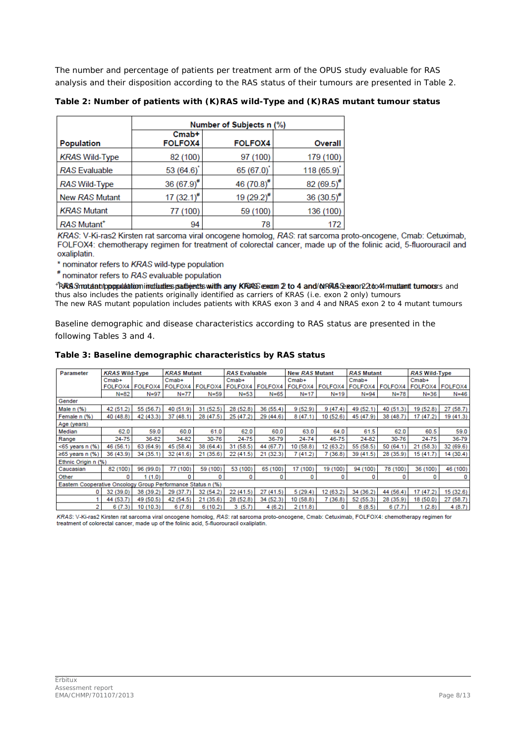The number and percentage of patients per treatment arm of the OPUS study evaluable for *RAS* analysis and their disposition according to the *RAS* status of their tumours are presented in Table 2.

|                                |                            | Number of Subjects n (%) |                  |
|--------------------------------|----------------------------|--------------------------|------------------|
| <b>Population</b>              | $Cmab$ +<br><b>FOLFOX4</b> | <b>FOLFOX4</b>           | <b>Overall</b>   |
| <b>KRAS Wild-Type</b>          | 82 (100)                   | 97 (100)                 | 179 (100)        |
| <b>RAS</b> Evaluable           | 53(64.6)                   | 65 (67.0)                | 118(65.9)        |
| RAS Wild-Type                  | 36 $(67.9)^{#}$            | 46 $(70.8)$ #            | 82 $(69.5)^{\#}$ |
| New RAS Mutant                 | 17 $(32.1)^{#}$            | $19(29.2)^{\#}$          | $36(30.5)^{*}$   |
| <b>KRAS Mutant</b>             | 77 (100)                   | 59 (100)                 | 136 (100)        |
| <b>RAS Mutant</b> <sup>+</sup> | 94                         | 78                       | 172              |

**Table 2: Number of patients with** *(K)RAS* **wild-Type and** *(K)RAS* **mutant tumour status**

KRAS: V-Ki-ras2 Kirsten rat sarcoma viral oncogene homolog, RAS: rat sarcoma proto-oncogene, Cmab: Cetuximab, FOLFOX4: chemotherapy regimen for treatment of colorectal cancer, made up of the folinic acid, 5-fluorouracil and oxaliplatin.

\* nominator refers to KRAS wild-type population

# nominator refers to RAS evaluable population

+RAS mutant population includes patients with any KRAS exon 2 to 4 and NRAS exon 2 to 4 mutant tumours and thus also includes the patients originally identified as carriers of KRAS (i.e. exon 2 only) tumours

The new RAS mutant population includes patients with KRAS exon 3 and 4 and NRAS exon 2 to 4 mutant tumours

Baseline demographic and disease characteristics according to *RAS* status are presented in the following Tables 3 and 4.

#### **Table 3: Baseline demographic characteristics by** *RAS* **status**

| Parameter                                                   | <b>KRAS Wild-Type</b> |                | <b>KRAS Mutant</b> |              | <b>RAS Evaluable</b> |              | <b>New RAS Mutant</b> |           | <b>RAS Mutant</b> |           | <b>RAS Wild-Type</b> |           |
|-------------------------------------------------------------|-----------------------|----------------|--------------------|--------------|----------------------|--------------|-----------------------|-----------|-------------------|-----------|----------------------|-----------|
|                                                             | $Cmab+$               |                | $Cmab+$            |              | $Cmab+$              |              | $Cmab+$               |           | $Cmab+$           |           | $Cmab+$              |           |
|                                                             | <b>FOLFOX4</b>        | <b>FOLFOX4</b> | FOLFOX4            | FOLFOX4      | FOLFOX4              | FOLFOX4      | FOLFOX4               | FOLFOX4   | FOLFOX4           | FOLFOX4   | FOLFOX4              | FOLFOX4   |
|                                                             | $N = 82$              | $N = 97$       | $N = 77$           | $N = 59$     | $N = 53$             | $N = 65$     | $N = 17$              | $N = 19$  | $N = 94$          | $N=78$    | $N = 36$             | $N = 46$  |
| Gender                                                      |                       |                |                    |              |                      |              |                       |           |                   |           |                      |           |
| Male $n$ $(\%)$                                             | 42 (51.2)             | 55 (56.7)      | 40 (51.9)          | 31(52.5)     | 28 (52.8)            | 36 (55.4)    | 9(52.9)               | 9(47.4)   | 49 (52.1)         | 40 (51.3) | 19 (52.8)            | 27 (58.7) |
| Female n (%)                                                | 40 (48.8)             | 42 (43.3)      | 37 (48.1)          | 28 (47.5)    | 25 (47.2)            | 29 (44.6)    | 8(47.1)               | 10 (52.6) | 45 (47.9)         | 38 (48.7) | 17 (47.2)            | 19 (41.3) |
| Age (years)                                                 |                       |                |                    |              |                      |              |                       |           |                   |           |                      |           |
| Median                                                      | 62.0                  | 59.0           | 60.0               | 61.0         | 62.0                 | 60.0         | 63.0                  | 64.0      | 61.5              | 62.0      | 60.5                 | 59.0      |
| Range                                                       | 24-75                 | 36-82          | 34-82              | 30-76        | 24-75                | 36-79        | 24-74                 | 46-75     | 24-82             | 30-76     | 24-75                | 36-79     |
| $<$ 65 years n $(%$                                         | 46 (56.1              | 63 (64.9)      | 45 (58.4)          | 38 (64.4)    | 31 (58.5)            | 44 (67.7)    | 10 (58.8)             | 12 (63.2) | 55 (58.5)         | 50 (64.1) | 21 (58.3)            | 32 (69.6) |
| $\geq 65$ years n (%)                                       | 36 (43.9)             | 34 (35.1)      | 32 (41.6)          | 21<br>(35.6) | 22 (41.5)            | (32.3)<br>21 | 7 (41.2)              | (36.8)    | 39 (41.5)         | 28 (35.9) | 15 (41.7)            | 14 (30.4) |
| Ethnic Origin n (%)                                         |                       |                |                    |              |                      |              |                       |           |                   |           |                      |           |
| Caucasian                                                   | 82 (100)              | 96 (99.0)      | 77 (100)           | 59 (100)     | 53 (100)             | 65 (100)     | 17 (100)              | 19 (100)  | 94 (100)          | 78 (100)  | 36 (100)             | 46 (100)  |
| Other                                                       | n                     | (1.0)          | 0                  | O            | 0                    | 0            | 0                     | 0         | 0                 | 0         | 0                    | 0         |
| Eastern Cooperative Oncology Group Performance Status n (%) |                       |                |                    |              |                      |              |                       |           |                   |           |                      |           |
| o                                                           | 32 (39.0)             | 38 (39.2)      | 29 (37.7)          | 32 (54.2)    | 22 (41.5)            | 27 (41.5)    | 5(29.4)               | 12 (63.2) | 34 (36.2)         | 44 (56.4) | 17 (47.2)            | 15 (32.6) |
|                                                             | 44 (53.7              | 49 (50.5)      | 42 (54.5)          | 21 (35.6)    | 28 (52.8)            | 34 (52.3)    | 10(58.8)              | 7 (36.8)  | 52 (55.3)         | 28 (35.9) | 18 (50.0)            | 27 (58.7) |
| 2                                                           | 6(7.3)                | 10 (10.3)      | 6(7.8)             | 6(10.2)      | (5.7)<br>3           | 4(6.2)       | 2(11.8)               | 0         | 8(8.5)            | 6(7.7)    | 1(2.8)               | 4(8.7)    |

KRAS: V-Ki-ras2 Kirsten rat sarcoma viral oncogene homolog, RAS: rat sarcoma proto-oncogene, Cmab: Cetuximab, FOLFOX4: chemotherapy regimen for treatment of colorectal cancer, made up of the folinic acid, 5-fluorouracil oxaliplatin.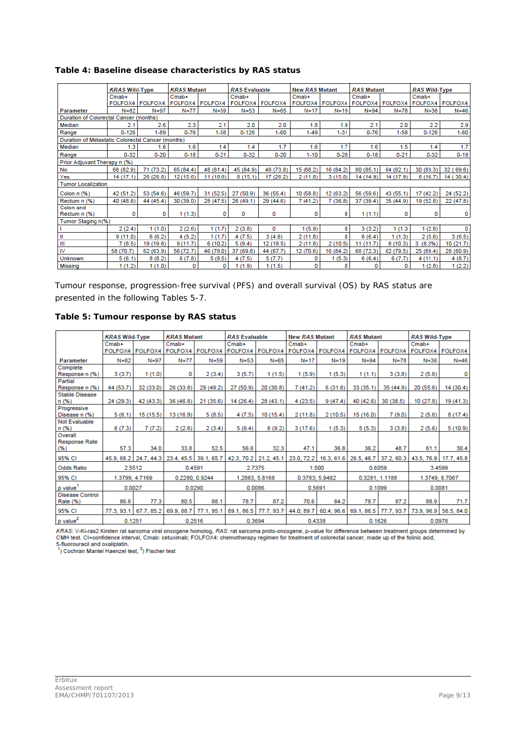|                                                   | <b>KRAS Wild-Type</b> |                 | <b>KRAS Mutant</b> |           | <b>RAS</b> Evaluable |                 | <b>New RAS Mutant</b> |           | <b>RAS Mutant</b>                     |           | <b>RAS Wild-Type</b>   |              |
|---------------------------------------------------|-----------------------|-----------------|--------------------|-----------|----------------------|-----------------|-----------------------|-----------|---------------------------------------|-----------|------------------------|--------------|
|                                                   | $Cmab+$               |                 | $Cmab+$            |           | $Cmab+$              |                 | $Cmab+$               |           | $Cmab+$                               |           | $Cmab+$                |              |
|                                                   |                       | FOLFOX4 FOLFOX4 | FOLFOX4 FOLFOX4    |           |                      | FOLFOX4 FOLFOX4 |                       |           | FOLFOX4   FOLFOX4   FOLFOX4   FOLFOX4 |           | <b>FOLFOX4 FOLFOX4</b> |              |
| Parameter                                         | $N = 82$              | $N = 97$        | $N=77$             | $N = 59$  | $N = 53$             | $N = 65$        | $N=17$                | N=19      | $N = 94$                              | $N = 78$  | $N = 36$               | $N = 46$     |
| Duration of Colorectal Cancer (months)            |                       |                 |                    |           |                      |                 |                       |           |                                       |           |                        |              |
| Median                                            | 2.1                   | 2.6             | 2.3                | 2.1       | 2.0                  | 2.0             | 1.8                   | 1.9       | 2.1                                   | 2.0       | 2.2                    | 2.9          |
| Range                                             | $0 - 126$             | $1 - 89$        | $0 - 76$           | $1 - 58$  | $0 - 126$            | $1 - 60$        | $1 - 49$              | $1 - 31$  | $0 - 76$                              | $1 - 58$  | $0 - 126$              | $1 - 60$     |
| Duration of Metastatic Colorectal Cancer (months) |                       |                 |                    |           |                      |                 |                       |           |                                       |           |                        |              |
| Median                                            | 1.3                   | 1.6             | 1.6                | 1.4       | 1.4                  | 1.7             | 1.6                   | 1.7       | 1.6                                   | 1.5       | 1.4                    | 1.7          |
| Range                                             | $0 - 32$              | $0 - 20$        | $0 - 18$           | $0 - 21$  | $0 - 32$             | $0 - 20$        | $1 - 10$              | $0 - 20$  | $0 - 18$                              | $0 - 21$  | $0 - 32$               | $0 - 19$     |
| Prior Adjuvant Therapy n (%)                      |                       |                 |                    |           |                      |                 |                       |           |                                       |           |                        |              |
| No                                                | 68 (82.9)             | 71 (73.2)       | 65 (84.4)          | 48 (81.4) | 45 (84.9)            | 48 (73.8)       | 15 (88.2)             | 16 (84.2) | 80 (85.1)                             | 64 (82.1) | 30 (83.3)              | 32(<br>69.6) |
| Yes                                               | 14 (17.1)             | 26 (26.8)       | 12 (15.6)          | 11(18.6)  | 8(15.1)              | 17 (26.2)       | 2(11.8)               | 3(15.8)   | 14 (14.9)                             | 14 (17.9) | 6(16.7)                | 14 (30.4)    |
| <b>Tumor Localization</b>                         |                       |                 |                    |           |                      |                 |                       |           |                                       |           |                        |              |
| Colon $n$ $(\%)$                                  | 42 (51.2)             | 53 (54.6)       | 46 (59.7)          | 31(52.5)  | 27 (50.9)            | 36 (55.4)       | 10(58.8)              | 12 (63.2) | 56 (59.6)                             | 43 (55.1) | 17(42.2)               | 24 (52.2)    |
| Rectum n (%)                                      | 40 (48.8)             | 44 (45.4)       | 30 (39.0)          | 28 (47.5) | 26 (49.1)            | 29 (44.6)       | 7(41.2)               | 7(36.8)   | 37 (39.4)                             | 35 (44.9) | 19 (52.8)              | 22 (47.8)    |
| Colon and                                         |                       |                 |                    |           |                      |                 |                       |           |                                       |           |                        |              |
| Rectum n (%)                                      | 0                     | 0               | 1(1.3)             | 0         | 0                    | 0               | 0                     | 0         | 1(1.1)                                | 0         | 0                      | 0            |
| Tumor Staging n(%)                                |                       |                 |                    |           |                      |                 |                       |           |                                       |           |                        |              |
|                                                   | 2(2.4)                | 1(1.0)          | 2(2.6)             | 1(1.7)    | 2(3.8)               | 0               | 1(5.9)                | 0         | 3(3.2)                                | 1 (1.3    | 1(2.8)                 | 0            |
| Ш                                                 | 9(11.0)               | 6(6.2)          | 4(5.2)             | 1(1.7)    | 4(7.5)               | 3(4.6)          | 2(11.8)               | 0         | 6(6.4)                                | 1(1.3)    | 2(5.6)                 | 3(6.5)       |
| Ш                                                 | 7(8.5)                | 19 (19.6)       | 9(11.7)            | 6(10.2)   | 5(9.4)               | 12 (18.5)       | 2(11.8)               | 2(10.5)   | 11(11.7)                              | 8(10.3)   | 3(8.3%)                | 10 (21.7)    |
| <b>IV</b>                                         | 58 (70.7)             | 62 (63.9)       | 56 (72.7)          | 46 (78.0) | 37 (69.8)            | 44 (67.7)       | 12 (70.6)             | 16 (84.2) | 68 (72.3)                             | 62 (79.5) | 25 (69.4)              | 28 (60.9)    |
| <b>Unknown</b>                                    | 5(6.1)                | 8(8.2)          | 6(7.8)             | 5(8.5)    | 4(7.5)               | 5(7.7)          | 0                     | 1(5.3)    | 6(6.4)                                | 6(7.7)    | 4(11.1)                | 4(8.7)       |
| <b>Missing</b>                                    | 1(1.2)                | 1(1.0)          | 0                  | 0         | (1.9)                | 1(1.5)          | 0                     | 0         | o                                     | 0         | 1(2.8)                 | 1(2.2)       |

### **Table 4: Baseline disease characteristics by** *RAS* **status**

Tumour response, progression-free survival (PFS) and overall survival (OS) by *RAS* status are presented in the following Tables 5-7.

|  | Table 5: Tumour response by RAS status |  |  |
|--|----------------------------------------|--|--|
|  |                                        |  |  |

|                                         | <b>KRAS Wild-Type</b> |                       | <b>KRAS Mutant</b> |                       |            | <b>RAS Evaluable</b>  |            | <b>New RAS Mutant</b> |                       | <b>RAS Mutant</b> | <b>RAS Wild-Type</b> |                       |
|-----------------------------------------|-----------------------|-----------------------|--------------------|-----------------------|------------|-----------------------|------------|-----------------------|-----------------------|-------------------|----------------------|-----------------------|
|                                         | $Cmab+$               |                       | $Cmab+$            |                       | $Cmab+$    |                       | $Cmab+$    |                       | $Cmab+$               |                   | $Cmab+$              |                       |
|                                         | FOLFOX4               | FOLFOX4               | FOLFOX4 FOLFOX4    |                       | FOLFOX4    | FOLFOX4               |            | FOLFOX4 FOLFOX4       | FOLFOX4               | FOLFOX4           | FOLFOX4 FOLFOX4      |                       |
| Parameter                               | $N = 82$              | $N = 97$              | $N = 77$           | $N = 59$              | $N = 53$   | $N = 65$              | $N = 17$   | $N=19$                | $N = 94$              | $N = 78$          | $N = 36$             | $N = 46$              |
| Complete                                |                       |                       |                    |                       |            |                       |            |                       |                       |                   |                      |                       |
| Response n (%)                          | 3(3.7)                | 1(1.0)                | 0                  | 2(3.4)                | 3(5.7)     | 1(1.5)                | 1(5.9)     | 1(5.3)                | 1(1.1)                | 3(3.8)            | 2(5.6)               | 0                     |
| Partial                                 |                       |                       |                    |                       |            |                       |            |                       |                       |                   |                      |                       |
| Response n (%)<br><b>Stable Disease</b> | 44 (53.7)             | 32(33.0)              | 26(33.8)           | 29 (49.2)             | 27 (50.9)  | 20(30.8)              | 7(41.2)    | 6(31.6)               | 33(35.1)              | 35(44.9)          | 20(55.6)             | 14 (30.4)             |
| n(% )                                   | 24 (29.3)             | 42 (43.3)             | 36(46.8)           | 21(35.6)              | 14 (26.4)  | 28(43.1)              | 4(23.5)    | 9(47.4)               | 40 (42.6)             | 30(38.5)          | 10(27.8)             | 19 (41.3)             |
| Progressive                             |                       |                       |                    |                       |            |                       |            |                       |                       |                   |                      |                       |
| Disease n (%)                           | 5(6.1)                | 15 (15.5)             | 13 (16.9)          | 5(8.5)                | 4(7.5)     | 10 (15.4)             | 2(11.8)    | 2(10.5)               | 15 (16.0)             | 7(9.0)            | 2(5.6)               | 8(17.4)               |
| Not Evaluable                           |                       |                       |                    |                       |            |                       |            |                       |                       |                   |                      |                       |
| n(% )                                   | 6(7.3)                | 7(7.2)                | 2(2.6)             | 2(3.4)                | 5(9.4)     | 6(9.2)                | 3(17.6)    | 1(5.3)                | 5(5.3)                | 3(3.8)            | 2(5.6)               | 5(10.9)               |
| Overall                                 |                       |                       |                    |                       |            |                       |            |                       |                       |                   |                      |                       |
| Response Rate<br>(% )                   | 57.3                  | 34.0                  | 33.8               | 52.5                  | 56.6       | 32.3                  | 47.1       | 36.8                  | 36.2                  | 48.7              | 61.1                 | 30.4                  |
| 95% CI                                  |                       | 45.9, 68.2 24.7, 44.3 |                    | 23.4, 45.5 39.1, 65.7 |            | 42.3, 70.2 21.2, 45.1 | 23.0, 72.2 |                       | 16.3, 61.6 26.5, 46.7 | 37.2, 60.3        |                      | 43.5, 76.9 17.7, 45.8 |
| <b>Odds Ratio</b>                       |                       | 2.5512                | 0.4591             |                       | 2.7375     |                       |            | 1.500                 | 0.6059                |                   |                      | 3.4599                |
| 95% CI                                  |                       | 1.3799, 4.7169        |                    | 0.2280, 0.9244        |            | 1.2883, 5.8168        |            | 0.3783; 5.9482        |                       | 0.3281, 1.1188    |                      | 1.3749, 8.7067        |
| p value <sup>1</sup>                    | 0.0027                |                       |                    | 0.0290                | 0.0086     |                       |            | 0.5691                | 0.1099                |                   | 0.0081               |                       |
| <b>Disease Control</b>                  |                       |                       |                    |                       |            |                       |            |                       |                       |                   |                      |                       |
| Rate (%)                                | 86.6                  | 77.3                  | 80.5               | 88.1                  | 78.7       | 87.2                  | 70.6       | 84.2                  | 78.7                  | 87.2              | 88.9                 | 71.7                  |
| 95% CI                                  | 77.3, 93.1            | 67.7, 85.2            | 69.9, 88.7         | 77.1, 95.1            | 69.1, 86.5 | 77.7, 93.7            | 44.0; 89.7 | 60.4; 96.6            | 69.1, 86.5            | 77.7, 93.7        | 73.9, 96.9           | 56.5, 84.0            |
| p value <sup>2</sup>                    | 0.1251                |                       |                    | 0.2516                | 0.3694     |                       | 0.4338     |                       | 0.1626                |                   | 0.0978               |                       |

KRAS: V-Ki-ras2 Kirsten rat sarcoma viral oncogene homolog, RAS: rat sarcoma proto-oncogene, p-value for difference between treatment groups determined by<br>CMH test. Cl=confidence interval, Cmab: cetuximab; FOLFOX4: chemoth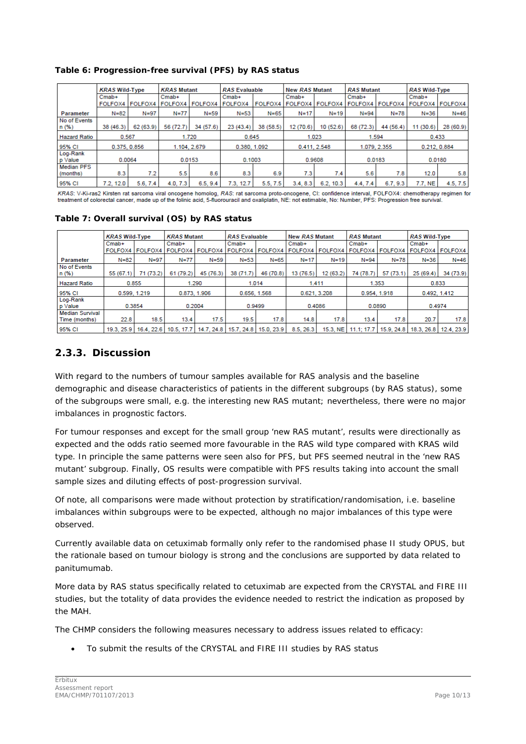|                               | <b>KRAS Wild-Type</b> |           | <b>KRAS Mutant</b> |             |              | <b>RAS Evaluable</b> |              | <b>New RAS Mutant</b> |                | <b>RAS Mutant</b> |              | <b>RAS Wild-Type</b> |  |
|-------------------------------|-----------------------|-----------|--------------------|-------------|--------------|----------------------|--------------|-----------------------|----------------|-------------------|--------------|----------------------|--|
|                               | $Cmab+$               |           | $Cmab+$            |             | $Cmab+$      |                      | $Cmab+$      |                       | $Cmab+$        |                   | $Cmab+$      |                      |  |
|                               | FOLFOX4 FOLFOX4       |           | FOLFOX4            | FOLFOX4     | FOLFOX4      | <b>FOLFOX4</b>       | FOLFOX4      | <b>FOLFOX4</b>        | <b>FOLFOX4</b> | FOLFOX4           | FOLFOX4      | <b>FOLFOX4</b>       |  |
| Parameter                     | N=82                  | $N = 97$  | $N=77$             | $N = 59$    | $N = 53$     | $N = 65$             | $N = 17$     | $N = 19$              | $N = 94$       | N=78              | $N = 36$     | $N = 46$             |  |
| No of Events<br>n(% )         | 38 (46.3)             | 62 (63.9) | 56 (72.7)          | 34 (57.6)   | 23(43.4)     | 38 (58.5)            | 12 (70.6)    | 10 (52.6)             | 68 (72.3)      | 44 (56.4)         | 11(30.6)     | 28 (60.9)            |  |
| <b>Hazard Ratio</b>           | 0.567                 |           |                    | 1.720       |              | 0.645                |              | 1.023                 |                | 1.594             |              | 0.433                |  |
| 95% CI                        | 0.375, 0.856          |           |                    | 1.104.2.679 | 0.380, 1.092 |                      | 0.411, 2.548 |                       | 1.079, 2.355   |                   | 0.212, 0.884 |                      |  |
| Log-Rank<br>p Value           | 0.0064                |           | 0.0153             |             | 0.1003       |                      | 0.9608       |                       | 0.0183         |                   | 0.0180       |                      |  |
| <b>Median PFS</b><br>(months) | 8.3                   | 7.2       | 5.5                | 8.6         | 8.3          | 6.9                  | 7.3          | 7.4                   | 5.6            | 7.8               | 12.0         | 5.8                  |  |
| 95% CI                        | 7.2, 12.0             | 5.6, 7.4  | 4.0, 7.3           | 6.5, 9.4    | 7.3, 12.7    | 5.5, 7.5             | 3.4, 8.3     | 6.2, 10.3             | 4.4, 7.4       | 6.7, 9.3          | 7.7, NE      | 4.5, 7.5             |  |

**Table 6: Progression-free survival (PFS) by** *RAS* **status**

KRAS: V-Ki-ras2 Kirsten rat sarcoma viral oncogene homolog, RAS: rat sarcoma proto-oncogene, CI: confidence interval, FOLFOX4: chemotherapy regimen for treatment of colorectal cancer, made up of the folinic acid, 5-fluorouracil and oxaliplatin, NE: not estimable, No: Number, PFS: Progression free survival

### **Table 7: Overall survival (OS) by** *RAS* **status**

|                                         | <b>KRAS Wild-Type</b> |           | <b>KRAS Mutant</b> |                                                   | <b>RAS Evaluable</b> |           | <b>New RAS Mutant</b> |          | <b>RAS Mutant</b>                                                             |           | <b>RAS Wild-Type</b> |           |
|-----------------------------------------|-----------------------|-----------|--------------------|---------------------------------------------------|----------------------|-----------|-----------------------|----------|-------------------------------------------------------------------------------|-----------|----------------------|-----------|
|                                         | $Cmab+$               |           | $Cmab+$            |                                                   | $Cmab+$              |           | $Cmab+$               |          | $Cmab+$                                                                       |           | $Cmab+$              |           |
|                                         |                       |           |                    | FOLFOX4   FOLFOX4   FOLFOX4   FOLFOX4             |                      |           |                       |          | FOLFOX4   FOLFOX4   FOLFOX4   FOLFOX4   FOLFOX4   FOLFOX4   FOLFOX4   FOLFOX4 |           |                      |           |
| Parameter                               | $N = 82$              | $N = 97$  | $N=77$             | $N = 59$                                          | $N = 53$             | $N = 65$  | $N = 17$              | $N=19$   | $N = 94$                                                                      | $N = 78$  | $N = 36$             | $N = 46$  |
| No of Events<br>n (%)                   | 55 (67.1)             | 71 (73.2) | 61 (79.2)          | 45 (76.3)                                         | 38 (71.7)            | 46 (70.8) | 13 (76.5)             | 12(63.2) | 74 (78.7)                                                                     | 57 (73.1) | 25(69.4)             | 34 (73.9) |
| <b>Hazard Ratio</b>                     | 0.855                 |           | 1.290              |                                                   | 1.014                |           | 1.411                 |          | 1.353                                                                         |           | 0.833                |           |
| 95% CI                                  | 0.599, 1.219          |           | 0.873, 1.906       |                                                   | 0.656, 1.568         |           | 0.621, 3.208          |          | 0.954, 1.918                                                                  |           | 0.492, 1.412         |           |
| Log-Rank<br>p Value                     | 0.3854                |           | 0.2004             |                                                   | 0.9499               |           | 0.4086                |          | 0.0890                                                                        |           | 0.4974               |           |
| <b>Median Survival</b><br>Time (months) | 22.8                  | 18.5      | 13.4               | 17.5                                              | 19.5                 | 17.8      | 14.8                  | 17.8     | 13.4                                                                          | 17.8      | 20.7                 | 17.8      |
| 95% CI                                  |                       |           |                    | 19.3, 25.9   16.4, 22.6   10.5, 17.7   14.7, 24.8 | 15.7.24.8 15.0.23.9  |           | 8.5, 26.3             |          | 15.3, NE   11.1; 17.7   15.9, 24.8   18.3, 26.8   12.4, 23.9                  |           |                      |           |

## <span id="page-9-0"></span>**2.3.3. Discussion**

With regard to the numbers of tumour samples available for *RAS* analysis and the baseline demographic and disease characteristics of patients in the different subgroups (by *RAS* status), some of the subgroups were small, e.g. the interesting new *RAS* mutant; nevertheless, there were no major imbalances in prognostic factors.

For tumour responses and except for the small group 'new *RAS* mutant', results were directionally as expected and the odds ratio seemed more favourable in the *RAS* wild type compared with *KRAS* wild type. In principle the same patterns were seen also for PFS, but PFS seemed neutral in the 'new *RAS* mutant' subgroup. Finally, OS results were compatible with PFS results taking into account the small sample sizes and diluting effects of post-progression survival.

Of note, all comparisons were made without protection by stratification/randomisation, i.e. baseline imbalances within subgroups were to be expected, although no major imbalances of this type were observed.

Currently available data on cetuximab formally only refer to the randomised phase II study OPUS, but the rationale based on tumour biology is strong and the conclusions are supported by data related to panitumumab.

More data by *RAS* status specifically related to cetuximab are expected from the CRYSTAL and FIRE III studies, but the totality of data provides the evidence needed to restrict the indication as proposed by the MAH.

The CHMP considers the following measures necessary to address issues related to efficacy:

• To submit the results of the CRYSTAL and FIRE III studies by *RAS* status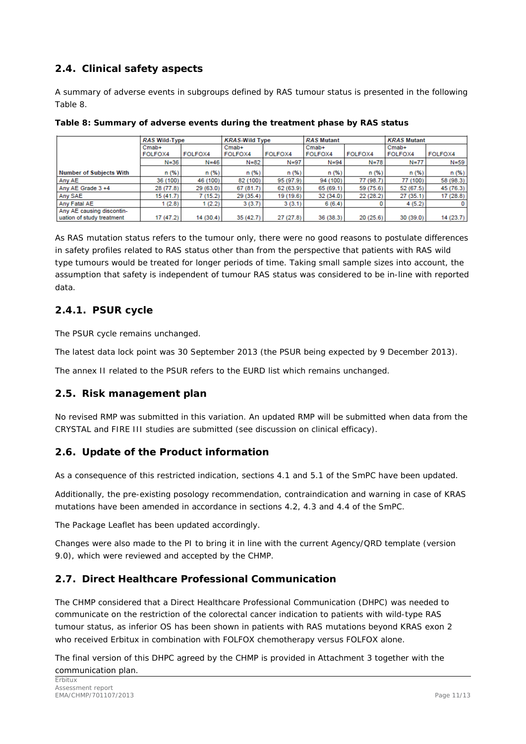## <span id="page-10-0"></span>*2.4. Clinical safety aspects*

A summary of adverse events in subgroups defined by *RAS* tumour status is presented in the following Table 8.

|                                | <b>RAS Wild-Type</b> |           | <b>KRAS-Wild Type</b> |           | <b>RAS Mutant</b> |           | <b>KRAS Mutant</b> |           |  |
|--------------------------------|----------------------|-----------|-----------------------|-----------|-------------------|-----------|--------------------|-----------|--|
|                                | $Cmab+$              |           | $Cmab+$               |           | $Cmab+$           |           | $Cmab+$            |           |  |
|                                | FOLFOX4              | FOLFOX4   | FOLFOX4               | FOLFOX4   | <b>FOLFOX4</b>    | FOLFOX4   | FOLFOX4            | FOLFOX4   |  |
|                                | $N = 36$             | $N = 46$  | $N = 82$              | $N = 97$  | $N = 94$          | $N = 78$  | N=77               | $N = 59$  |  |
| <b>Number of Subjects With</b> | n(% )                | n(%)      | n(% )                 | n(% )     | n(% )             | n(% )     | n(%)               | n(% )     |  |
| Any AE                         | 36 (100)             | 46 (100)  | 82 (100)              | 95 (97.9) | 94 (100)          | 77 (98.7) | 77 (100)           | 58 (98.3) |  |
| Any AE Grade 3 +4              | 28 (77.8)            | 29(63.0)  | 67 (81.7)             | 62 (63.9) | 65 (69.1)         | 59 (75.6) | 52 (67.5)          | 45 (76.3) |  |
| Any SAE                        | 15(41.7)             | 7(15.2)   | 29(35.4)              | 19 (19.6) | 32 (34.0)         | 22(28.2)  | 27(35.1)           | 17(28.8)  |  |
| Any Fatal AE                   | (2.8)                | 1(2.2)    | 3(3.7)                | 3(3.1)    | 6(6.4)            |           | 4(5.2)             |           |  |
| Any AE causing discontin-      |                      |           |                       |           |                   |           |                    |           |  |
| uation of study treatment      | 17 (47.2)            | 14 (30.4) | 35(42.7)              | 27(27.8)  | 36 (38.3)         | 20(25.6)  | 30(39.0)           | 14(23.7)  |  |

**Table 8: Summary of adverse events during the treatment phase by** *RAS* **status**

As *RAS* mutation status refers to the tumour only, there were no good reasons to postulate differences in safety profiles related to *RAS* status other than from the perspective that patients with *RAS* wild type tumours would be treated for longer periods of time. Taking small sample sizes into account, the assumption that safety is independent of tumour *RAS* status was considered to be in-line with reported data.

## <span id="page-10-1"></span>**2.4.1. PSUR cycle**

The PSUR cycle remains unchanged.

The latest data lock point was 30 September 2013 (the PSUR being expected by 9 December 2013).

The annex II related to the PSUR refers to the EURD list which remains unchanged.

## <span id="page-10-2"></span>*2.5. Risk management plan*

No revised RMP was submitted in this variation. An updated RMP will be submitted when data from the CRYSTAL and FIRE III studies are submitted (see discussion on clinical efficacy).

## <span id="page-10-3"></span>*2.6. Update of the Product information*

As a consequence of this restricted indication, sections 4.1 and 5.1 of the SmPC have been updated.

Additionally, the pre-existing posology recommendation, contraindication and warning in case of *KRAS* mutations have been amended in accordance in sections 4.2, 4.3 and 4.4 of the SmPC.

The Package Leaflet has been updated accordingly.

Changes were also made to the PI to bring it in line with the current Agency/QRD template (version 9.0), which were reviewed and accepted by the CHMP.

## <span id="page-10-4"></span>*2.7. Direct Healthcare Professional Communication*

The CHMP considered that a Direct Healthcare Professional Communication (DHPC) was needed to communicate on the restriction of the colorectal cancer indication to patients with wild-type *RAS* tumour status, as inferior OS has been shown in patients with *RAS* mutations beyond *KRAS* exon 2 who received Erbitux in combination with FOLFOX chemotherapy versus FOLFOX alone.

The final version of this DHPC agreed by the CHMP is provided in Attachment 3 together with the communication plan.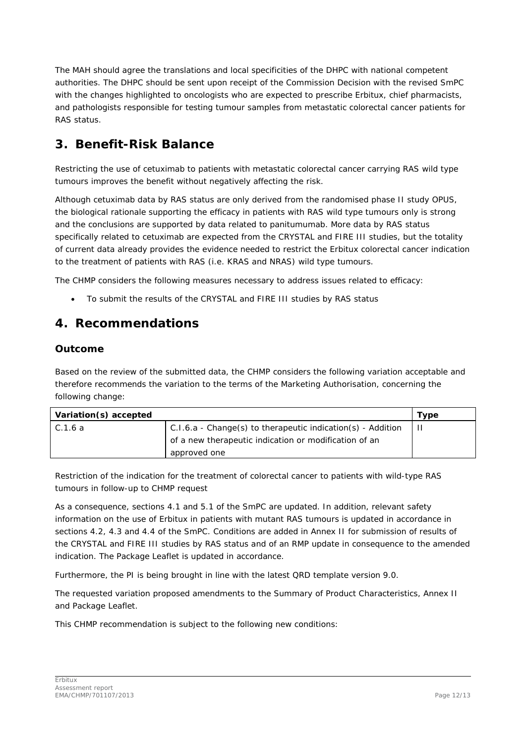The MAH should agree the translations and local specificities of the DHPC with national competent authorities. The DHPC should be sent upon receipt of the Commission Decision with the revised SmPC with the changes highlighted to oncologists who are expected to prescribe Erbitux, chief pharmacists, and pathologists responsible for testing tumour samples from metastatic colorectal cancer patients for *RAS* status.

# <span id="page-11-0"></span>**3. Benefit-Risk Balance**

Restricting the use of cetuximab to patients with metastatic colorectal cancer carrying *RAS* wild type tumours improves the benefit without negatively affecting the risk.

Although cetuximab data by *RAS* status are only derived from the randomised phase II study OPUS, the biological rationale supporting the efficacy in patients with *RAS* wild type tumours only is strong and the conclusions are supported by data related to panitumumab. More data by *RAS* status specifically related to cetuximab are expected from the CRYSTAL and FIRE III studies, but the totality of current data already provides the evidence needed to restrict the Erbitux colorectal cancer indication to the treatment of patients with *RAS* (i.e. *KRAS* and *NRAS*) wild type tumours.

The CHMP considers the following measures necessary to address issues related to efficacy:

• To submit the results of the CRYSTAL and FIRE III studies by *RAS* status

# <span id="page-11-1"></span>**4. Recommendations**

### *Outcome*

Based on the review of the submitted data, the CHMP considers the following variation acceptable and therefore recommends the variation to the terms of the Marketing Authorisation, concerning the following change:

| Variation(s) accepted |                                                               | Type |
|-----------------------|---------------------------------------------------------------|------|
| C.1.6 a               | $C.1.6.a - Change(s)$ to therapeutic indication(s) - Addition |      |
|                       | of a new therapeutic indication or modification of an         |      |
|                       | approved one                                                  |      |

Restriction of the indication for the treatment of colorectal cancer to patients with wild-type *RAS* tumours in follow-up to CHMP request

As a consequence, sections 4.1 and 5.1 of the SmPC are updated. In addition, relevant safety information on the use of Erbitux in patients with mutant *RAS* tumours is updated in accordance in sections 4.2, 4.3 and 4.4 of the SmPC. Conditions are added in Annex II for submission of results of the CRYSTAL and FIRE III studies by *RAS* status and of an RMP update in consequence to the amended indication. The Package Leaflet is updated in accordance.

Furthermore, the PI is being brought in line with the latest QRD template version 9.0.

The requested variation proposed amendments to the Summary of Product Characteristics, Annex II and Package Leaflet.

This CHMP recommendation is subject to the following new conditions: